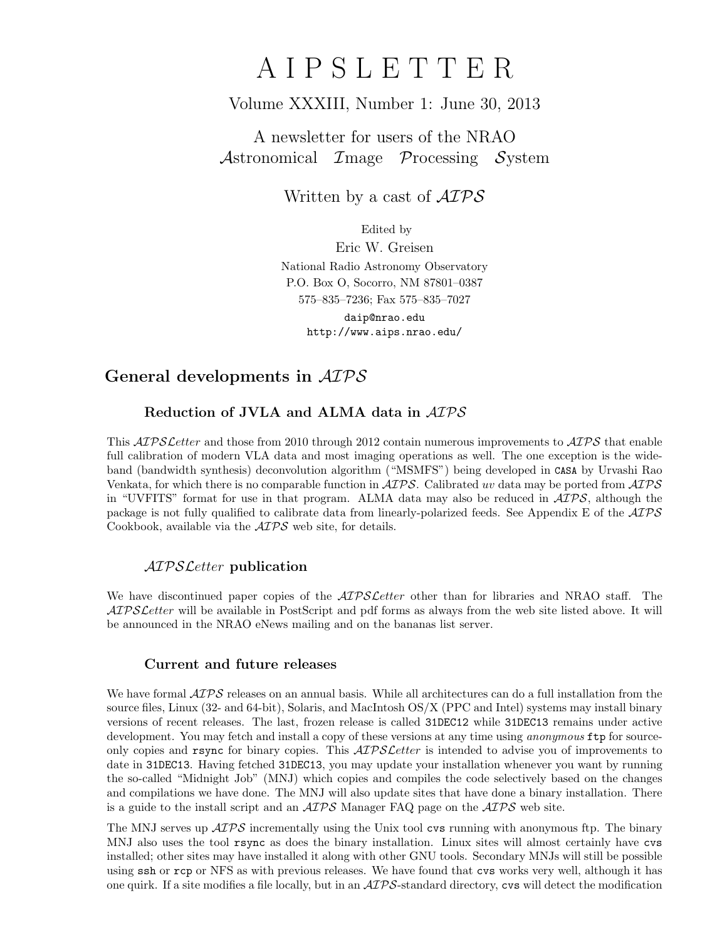# A I P S L E T T E R

# Volume XXXIII, Number 1: June 30, 2013

A newsletter for users of the NRAO Astronomical Image Processing System

Written by a cast of  $\mathcal{AIPS}$ 

Edited by

Eric W. Greisen National Radio Astronomy Observatory P.O. Box O, Socorro, NM 87801–0387 575–835–7236; Fax 575–835–7027

daip@nrao.edu http://www.aips.nrao.edu/

# General developments in AIPS

# Reduction of JVLA and ALMA data in AIPS

This *AIPS Letter* and those from 2010 through 2012 contain numerous improvements to *AIPS* that enable full calibration of modern VLA data and most imaging operations as well. The one exception is the wideband (bandwidth synthesis) deconvolution algorithm ("MSMFS") being developed in CASA by Urvashi Rao Venkata, for which there is no comparable function in  $\mathcal{AIPS}$ . Calibrated uv data may be ported from  $\mathcal{AIPS}$ in "UVFITS" format for use in that program. ALMA data may also be reduced in  $\mathcal{AIPS}$ , although the package is not fully qualified to calibrate data from linearly-polarized feeds. See Appendix E of the  $\mathcal{AIPS}$ Cookbook, available via the AIPS web site, for details.

# AIPSLetter publication

We have discontinued paper copies of the  $ATPSLetter$  other than for libraries and NRAO staff. The AIPS Letter will be available in PostScript and pdf forms as always from the web site listed above. It will be announced in the NRAO eNews mailing and on the bananas list server.

## Current and future releases

We have formal  $\mathcal{AIPS}$  releases on an annual basis. While all architectures can do a full installation from the source files, Linux (32- and 64-bit), Solaris, and MacIntosh OS/X (PPC and Intel) systems may install binary versions of recent releases. The last, frozen release is called 31DEC12 while 31DEC13 remains under active development. You may fetch and install a copy of these versions at any time using *anonymous* ftp for sourceonly copies and rsync for binary copies. This  $\mathcal{AIPS}\mathcal{L}etter$  is intended to advise you of improvements to date in 31DEC13. Having fetched 31DEC13, you may update your installation whenever you want by running the so-called "Midnight Job" (MNJ) which copies and compiles the code selectively based on the changes and compilations we have done. The MNJ will also update sites that have done a binary installation. There is a guide to the install script and an  $\mathcal{AIPS}$  Manager FAQ page on the  $\mathcal{AIPS}$  web site.

The MNJ serves up  $\mathcal{A} \mathcal{I} \mathcal{P} \mathcal{S}$  incrementally using the Unix tool cvs running with anonymous ftp. The binary MNJ also uses the tool rsync as does the binary installation. Linux sites will almost certainly have cvs installed; other sites may have installed it along with other GNU tools. Secondary MNJs will still be possible using ssh or rcp or NFS as with previous releases. We have found that cvs works very well, although it has one quirk. If a site modifies a file locally, but in an  $\mathcal{AIPS}$ -standard directory, cvs will detect the modification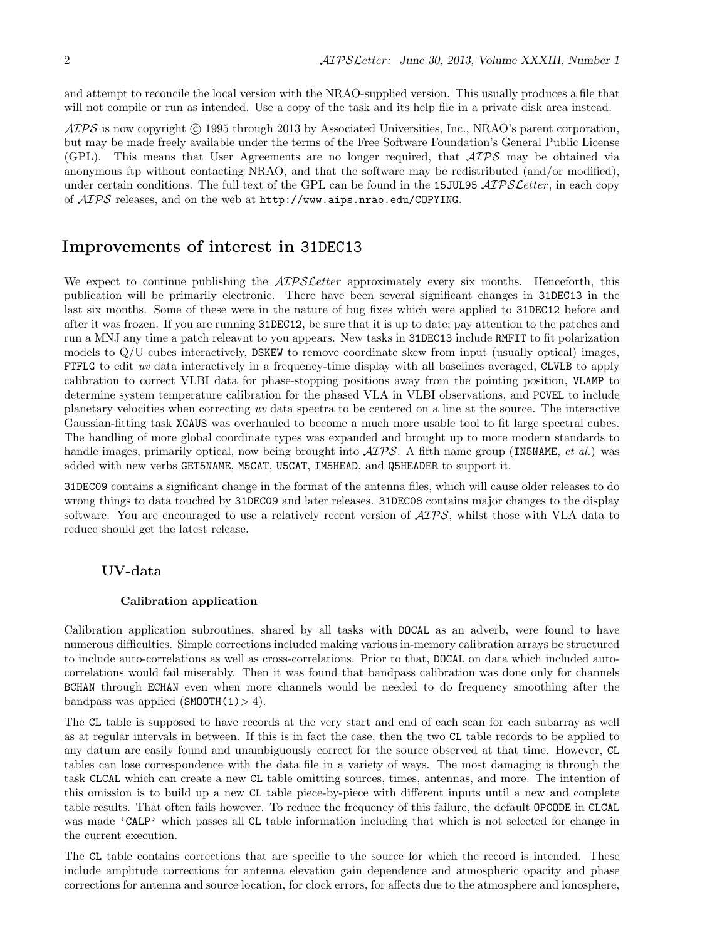and attempt to reconcile the local version with the NRAO-supplied version. This usually produces a file that will not compile or run as intended. Use a copy of the task and its help file in a private disk area instead.

 $\langle \mathcal{A} \mathcal{P} \mathcal{S} \rangle$  is now copyright (c) 1995 through 2013 by Associated Universities, Inc., NRAO's parent corporation, but may be made freely available under the terms of the Free Software Foundation's General Public License (GPL). This means that User Agreements are no longer required, that AIPS may be obtained via anonymous ftp without contacting NRAO, and that the software may be redistributed (and/or modified), under certain conditions. The full text of the GPL can be found in the 15JUL95  $ATPSLetter$ , in each copy of AIPS releases, and on the web at http://www.aips.nrao.edu/COPYING.

# Improvements of interest in 31DEC13

We expect to continue publishing the  $ATPSCetter$  approximately every six months. Henceforth, this publication will be primarily electronic. There have been several significant changes in 31DEC13 in the last six months. Some of these were in the nature of bug fixes which were applied to 31DEC12 before and after it was frozen. If you are running 31DEC12, be sure that it is up to date; pay attention to the patches and run a MNJ any time a patch releavnt to you appears. New tasks in 31DEC13 include RMFIT to fit polarization models to  $Q/U$  cubes interactively, DSKEW to remove coordinate skew from input (usually optical) images, FTFLG to edit uv data interactively in a frequency-time display with all baselines averaged, CLVLB to apply calibration to correct VLBI data for phase-stopping positions away from the pointing position, VLAMP to determine system temperature calibration for the phased VLA in VLBI observations, and PCVEL to include planetary velocities when correcting uv data spectra to be centered on a line at the source. The interactive Gaussian-fitting task XGAUS was overhauled to become a much more usable tool to fit large spectral cubes. The handling of more global coordinate types was expanded and brought up to more modern standards to handle images, primarily optical, now being brought into  $\mathcal{AIPS}$ . A fifth name group (IN5NAME, *et al.*) was added with new verbs GET5NAME, M5CAT, U5CAT, IM5HEAD, and Q5HEADER to support it.

31DEC09 contains a significant change in the format of the antenna files, which will cause older releases to do wrong things to data touched by 31DEC09 and later releases. 31DEC08 contains major changes to the display software. You are encouraged to use a relatively recent version of  $\mathcal{AIPS}$ , whilst those with VLA data to reduce should get the latest release.

## UV-data

### Calibration application

Calibration application subroutines, shared by all tasks with DOCAL as an adverb, were found to have numerous difficulties. Simple corrections included making various in-memory calibration arrays be structured to include auto-correlations as well as cross-correlations. Prior to that, DOCAL on data which included autocorrelations would fail miserably. Then it was found that bandpass calibration was done only for channels BCHAN through ECHAN even when more channels would be needed to do frequency smoothing after the bandpass was applied  $(SMOOTH(1) > 4)$ .

The CL table is supposed to have records at the very start and end of each scan for each subarray as well as at regular intervals in between. If this is in fact the case, then the two CL table records to be applied to any datum are easily found and unambiguously correct for the source observed at that time. However, CL tables can lose correspondence with the data file in a variety of ways. The most damaging is through the task CLCAL which can create a new CL table omitting sources, times, antennas, and more. The intention of this omission is to build up a new CL table piece-by-piece with different inputs until a new and complete table results. That often fails however. To reduce the frequency of this failure, the default OPCODE in CLCAL was made 'CALP' which passes all CL table information including that which is not selected for change in the current execution.

The CL table contains corrections that are specific to the source for which the record is intended. These include amplitude corrections for antenna elevation gain dependence and atmospheric opacity and phase corrections for antenna and source location, for clock errors, for affects due to the atmosphere and ionosphere,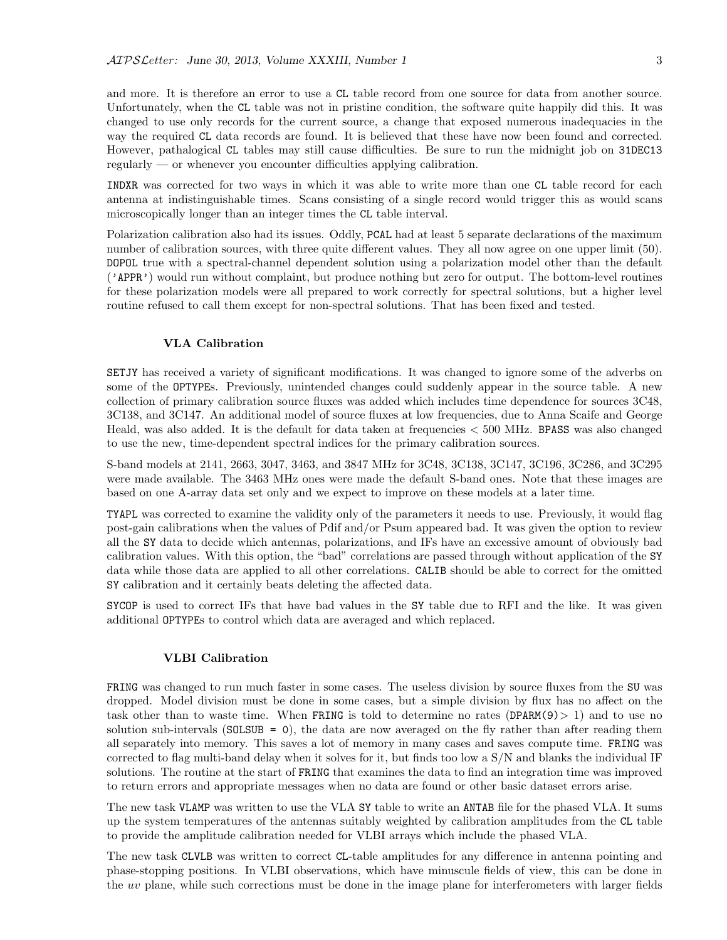and more. It is therefore an error to use a CL table record from one source for data from another source. Unfortunately, when the CL table was not in pristine condition, the software quite happily did this. It was changed to use only records for the current source, a change that exposed numerous inadequacies in the way the required CL data records are found. It is believed that these have now been found and corrected. However, pathalogical CL tables may still cause difficulties. Be sure to run the midnight job on 31DEC13 regularly — or whenever you encounter difficulties applying calibration.

INDXR was corrected for two ways in which it was able to write more than one CL table record for each antenna at indistinguishable times. Scans consisting of a single record would trigger this as would scans microscopically longer than an integer times the CL table interval.

Polarization calibration also had its issues. Oddly, PCAL had at least 5 separate declarations of the maximum number of calibration sources, with three quite different values. They all now agree on one upper limit (50). DOPOL true with a spectral-channel dependent solution using a polarization model other than the default ('APPR') would run without complaint, but produce nothing but zero for output. The bottom-level routines for these polarization models were all prepared to work correctly for spectral solutions, but a higher level routine refused to call them except for non-spectral solutions. That has been fixed and tested.

### VLA Calibration

SETJY has received a variety of significant modifications. It was changed to ignore some of the adverbs on some of the OPTYPEs. Previously, unintended changes could suddenly appear in the source table. A new collection of primary calibration source fluxes was added which includes time dependence for sources 3C48, 3C138, and 3C147. An additional model of source fluxes at low frequencies, due to Anna Scaife and George Heald, was also added. It is the default for data taken at frequencies < 500 MHz. BPASS was also changed to use the new, time-dependent spectral indices for the primary calibration sources.

S-band models at 2141, 2663, 3047, 3463, and 3847 MHz for 3C48, 3C138, 3C147, 3C196, 3C286, and 3C295 were made available. The 3463 MHz ones were made the default S-band ones. Note that these images are based on one A-array data set only and we expect to improve on these models at a later time.

TYAPL was corrected to examine the validity only of the parameters it needs to use. Previously, it would flag post-gain calibrations when the values of Pdif and/or Psum appeared bad. It was given the option to review all the SY data to decide which antennas, polarizations, and IFs have an excessive amount of obviously bad calibration values. With this option, the "bad" correlations are passed through without application of the SY data while those data are applied to all other correlations. CALIB should be able to correct for the omitted SY calibration and it certainly beats deleting the affected data.

SYCOP is used to correct IFs that have bad values in the SY table due to RFI and the like. It was given additional OPTYPEs to control which data are averaged and which replaced.

### VLBI Calibration

FRING was changed to run much faster in some cases. The useless division by source fluxes from the SU was dropped. Model division must be done in some cases, but a simple division by flux has no affect on the task other than to waste time. When FRING is told to determine no rates  $(DPARM(9) > 1)$  and to use no solution sub-intervals ( $SOLSUB = 0$ ), the data are now averaged on the fly rather than after reading them all separately into memory. This saves a lot of memory in many cases and saves compute time. FRING was corrected to flag multi-band delay when it solves for it, but finds too low a S/N and blanks the individual IF solutions. The routine at the start of FRING that examines the data to find an integration time was improved to return errors and appropriate messages when no data are found or other basic dataset errors arise.

The new task VLAMP was written to use the VLA SY table to write an ANTAB file for the phased VLA. It sums up the system temperatures of the antennas suitably weighted by calibration amplitudes from the CL table to provide the amplitude calibration needed for VLBI arrays which include the phased VLA.

The new task CLVLB was written to correct CL-table amplitudes for any difference in antenna pointing and phase-stopping positions. In VLBI observations, which have minuscule fields of view, this can be done in the uv plane, while such corrections must be done in the image plane for interferometers with larger fields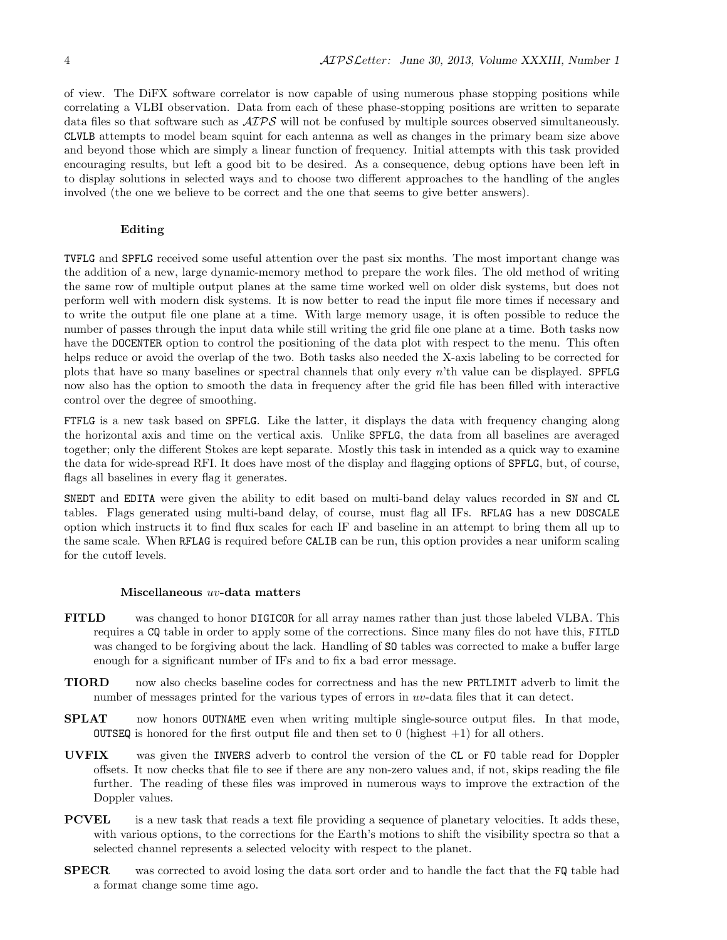of view. The DiFX software correlator is now capable of using numerous phase stopping positions while correlating a VLBI observation. Data from each of these phase-stopping positions are written to separate data files so that software such as  $\mathcal{AIPS}$  will not be confused by multiple sources observed simultaneously. CLVLB attempts to model beam squint for each antenna as well as changes in the primary beam size above and beyond those which are simply a linear function of frequency. Initial attempts with this task provided encouraging results, but left a good bit to be desired. As a consequence, debug options have been left in to display solutions in selected ways and to choose two different approaches to the handling of the angles involved (the one we believe to be correct and the one that seems to give better answers).

## Editing

TVFLG and SPFLG received some useful attention over the past six months. The most important change was the addition of a new, large dynamic-memory method to prepare the work files. The old method of writing the same row of multiple output planes at the same time worked well on older disk systems, but does not perform well with modern disk systems. It is now better to read the input file more times if necessary and to write the output file one plane at a time. With large memory usage, it is often possible to reduce the number of passes through the input data while still writing the grid file one plane at a time. Both tasks now have the DOCENTER option to control the positioning of the data plot with respect to the menu. This often helps reduce or avoid the overlap of the two. Both tasks also needed the X-axis labeling to be corrected for plots that have so many baselines or spectral channels that only every n'th value can be displayed. SPFLG now also has the option to smooth the data in frequency after the grid file has been filled with interactive control over the degree of smoothing.

FTFLG is a new task based on SPFLG. Like the latter, it displays the data with frequency changing along the horizontal axis and time on the vertical axis. Unlike SPFLG, the data from all baselines are averaged together; only the different Stokes are kept separate. Mostly this task in intended as a quick way to examine the data for wide-spread RFI. It does have most of the display and flagging options of SPFLG, but, of course, flags all baselines in every flag it generates.

SNEDT and EDITA were given the ability to edit based on multi-band delay values recorded in SN and CL tables. Flags generated using multi-band delay, of course, must flag all IFs. RFLAG has a new DOSCALE option which instructs it to find flux scales for each IF and baseline in an attempt to bring them all up to the same scale. When RFLAG is required before CALIB can be run, this option provides a near uniform scaling for the cutoff levels.

#### Miscellaneous uv-data matters

- FITLD was changed to honor DIGICOR for all array names rather than just those labeled VLBA. This requires a CQ table in order to apply some of the corrections. Since many files do not have this, FITLD was changed to be forgiving about the lack. Handling of SO tables was corrected to make a buffer large enough for a significant number of IFs and to fix a bad error message.
- TIORD now also checks baseline codes for correctness and has the new PRTLIMIT adverb to limit the number of messages printed for the various types of errors in  $uv$ -data files that it can detect.
- SPLAT now honors OUTNAME even when writing multiple single-source output files. In that mode, **OUTSEQ** is honored for the first output file and then set to 0 (highest  $+1$ ) for all others.
- UVFIX was given the INVERS adverb to control the version of the CL or FO table read for Doppler offsets. It now checks that file to see if there are any non-zero values and, if not, skips reading the file further. The reading of these files was improved in numerous ways to improve the extraction of the Doppler values.
- PCVEL is a new task that reads a text file providing a sequence of planetary velocities. It adds these, with various options, to the corrections for the Earth's motions to shift the visibility spectra so that a selected channel represents a selected velocity with respect to the planet.
- SPECR was corrected to avoid losing the data sort order and to handle the fact that the FQ table had a format change some time ago.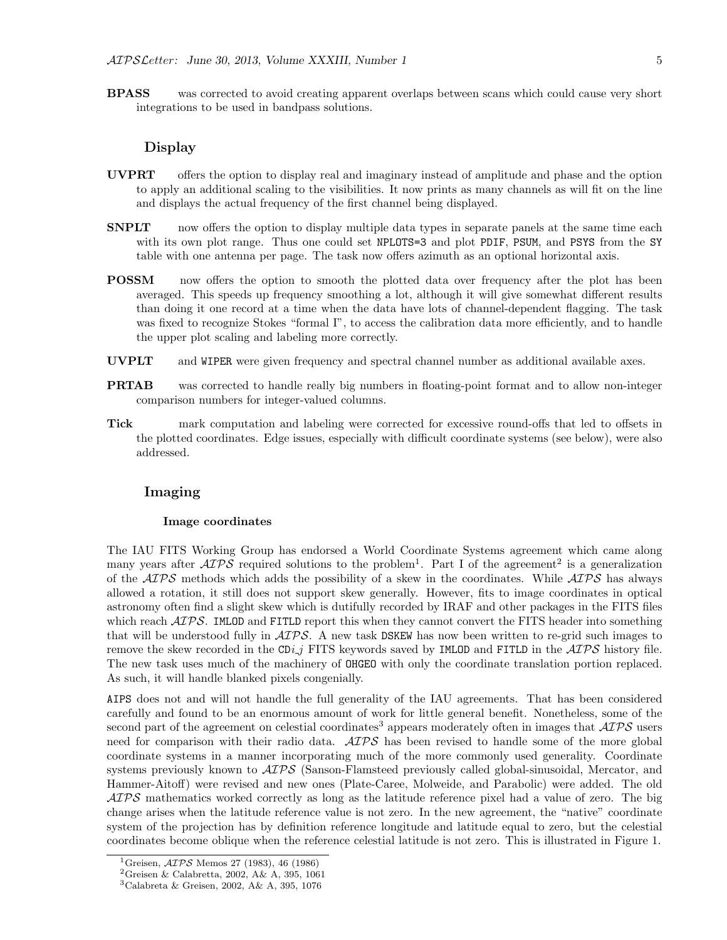BPASS was corrected to avoid creating apparent overlaps between scans which could cause very short integrations to be used in bandpass solutions.

## Display

- UVPRT offers the option to display real and imaginary instead of amplitude and phase and the option to apply an additional scaling to the visibilities. It now prints as many channels as will fit on the line and displays the actual frequency of the first channel being displayed.
- **SNPLT** now offers the option to display multiple data types in separate panels at the same time each with its own plot range. Thus one could set NPLOTS=3 and plot PDIF, PSUM, and PSYS from the SY table with one antenna per page. The task now offers azimuth as an optional horizontal axis.
- **POSSM** now offers the option to smooth the plotted data over frequency after the plot has been averaged. This speeds up frequency smoothing a lot, although it will give somewhat different results than doing it one record at a time when the data have lots of channel-dependent flagging. The task was fixed to recognize Stokes "formal I", to access the calibration data more efficiently, and to handle the upper plot scaling and labeling more correctly.
- UVPLT and WIPER were given frequency and spectral channel number as additional available axes.
- PRTAB was corrected to handle really big numbers in floating-point format and to allow non-integer comparison numbers for integer-valued columns.
- Tick mark computation and labeling were corrected for excessive round-offs that led to offsets in the plotted coordinates. Edge issues, especially with difficult coordinate systems (see below), were also addressed.

## Imaging

#### Image coordinates

The IAU FITS Working Group has endorsed a World Coordinate Systems agreement which came along many years after  $\mathcal{A} \mathcal{I} \mathcal{P} \mathcal{S}$  required solutions to the problem<sup>1</sup>. Part I of the agreement<sup>2</sup> is a generalization of the  $\mathcal{AIPS}$  methods which adds the possibility of a skew in the coordinates. While  $\mathcal{AIPS}$  has always allowed a rotation, it still does not support skew generally. However, fits to image coordinates in optical astronomy often find a slight skew which is dutifully recorded by IRAF and other packages in the FITS files which reach  $\mathcal{AIPS}$ . IMLOD and FITLD report this when they cannot convert the FITS header into something that will be understood fully in  $\mathcal{AIPS}$ . A new task DSKEW has now been written to re-grid such images to remove the skew recorded in the CDi j FITS keywords saved by IMLOD and FITLD in the  $\mathcal{AIPS}$  history file. The new task uses much of the machinery of OHGEO with only the coordinate translation portion replaced. As such, it will handle blanked pixels congenially.

AIPS does not and will not handle the full generality of the IAU agreements. That has been considered carefully and found to be an enormous amount of work for little general benefit. Nonetheless, some of the second part of the agreement on celestial coordinates<sup>3</sup> appears moderately often in images that  $\mathcal{AIPS}$  users need for comparison with their radio data.  $\mathcal{AIPS}$  has been revised to handle some of the more global coordinate systems in a manner incorporating much of the more commonly used generality. Coordinate systems previously known to  $\mathcal{AIPS}$  (Sanson-Flamsteed previously called global-sinusoidal, Mercator, and Hammer-Aitoff) were revised and new ones (Plate-Caree, Molweide, and Parabolic) were added. The old  $\mathcal{AIPS}$  mathematics worked correctly as long as the latitude reference pixel had a value of zero. The big change arises when the latitude reference value is not zero. In the new agreement, the "native" coordinate system of the projection has by definition reference longitude and latitude equal to zero, but the celestial coordinates become oblique when the reference celestial latitude is not zero. This is illustrated in Figure 1.

<sup>&</sup>lt;sup>1</sup>Greisen,  $\mathcal{A} \mathcal{I} \mathcal{P} \mathcal{S}$  Memos 27 (1983), 46 (1986)

<sup>2</sup>Greisen & Calabretta, 2002, A& A, 395, 1061

<sup>3</sup>Calabreta & Greisen, 2002, A& A, 395, 1076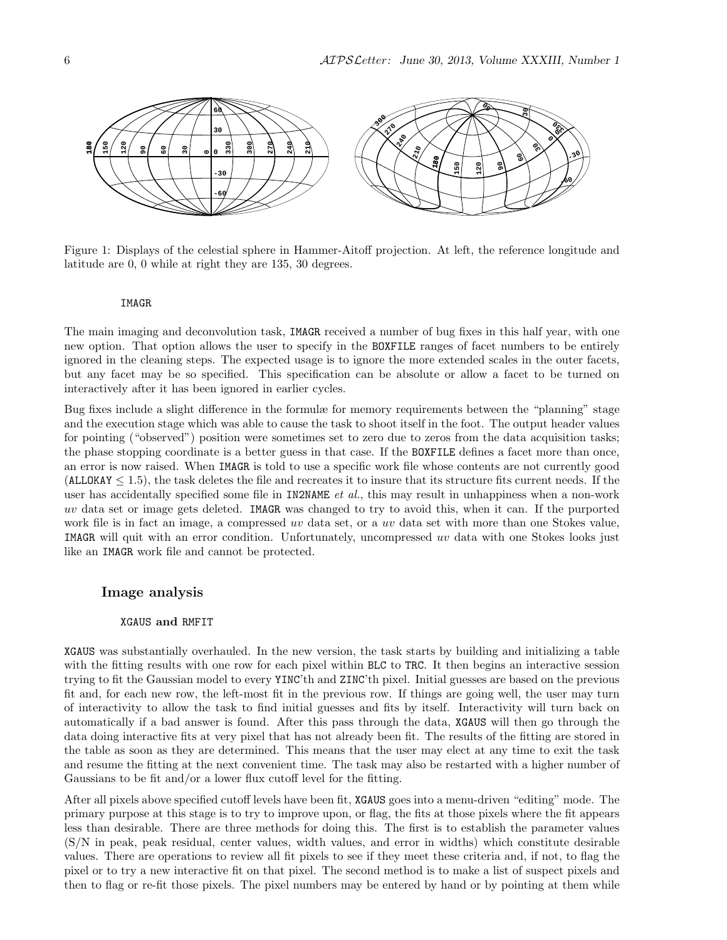

Figure 1: Displays of the celestial sphere in Hammer-Aitoff projection. At left, the reference longitude and latitude are 0, 0 while at right they are 135, 30 degrees.

#### IMAGR

The main imaging and deconvolution task, IMAGR received a number of bug fixes in this half year, with one new option. That option allows the user to specify in the BOXFILE ranges of facet numbers to be entirely ignored in the cleaning steps. The expected usage is to ignore the more extended scales in the outer facets, but any facet may be so specified. This specification can be absolute or allow a facet to be turned on interactively after it has been ignored in earlier cycles.

Bug fixes include a slight difference in the formulæ for memory requirements between the "planning" stage and the execution stage which was able to cause the task to shoot itself in the foot. The output header values for pointing ("observed") position were sometimes set to zero due to zeros from the data acquisition tasks; the phase stopping coordinate is a better guess in that case. If the BOXFILE defines a facet more than once, an error is now raised. When IMAGR is told to use a specific work file whose contents are not currently good  $(ALLOKAY \leq 1.5)$ , the task deletes the file and recreates it to insure that its structure fits current needs. If the user has accidentally specified some file in IN2NAME *et al.*, this may result in unhappiness when a non-work uv data set or image gets deleted. IMAGR was changed to try to avoid this, when it can. If the purported work file is in fact an image, a compressed uv data set, or a uv data set with more than one Stokes value, IMAGR will quit with an error condition. Unfortunately, uncompressed uv data with one Stokes looks just like an IMAGR work file and cannot be protected.

## Image analysis

#### XGAUS and RMFIT

XGAUS was substantially overhauled. In the new version, the task starts by building and initializing a table with the fitting results with one row for each pixel within BLC to TRC. It then begins an interactive session trying to fit the Gaussian model to every YINC'th and ZINC'th pixel. Initial guesses are based on the previous fit and, for each new row, the left-most fit in the previous row. If things are going well, the user may turn of interactivity to allow the task to find initial guesses and fits by itself. Interactivity will turn back on automatically if a bad answer is found. After this pass through the data, XGAUS will then go through the data doing interactive fits at very pixel that has not already been fit. The results of the fitting are stored in the table as soon as they are determined. This means that the user may elect at any time to exit the task and resume the fitting at the next convenient time. The task may also be restarted with a higher number of Gaussians to be fit and/or a lower flux cutoff level for the fitting.

After all pixels above specified cutoff levels have been fit, XGAUS goes into a menu-driven "editing" mode. The primary purpose at this stage is to try to improve upon, or flag, the fits at those pixels where the fit appears less than desirable. There are three methods for doing this. The first is to establish the parameter values (S/N in peak, peak residual, center values, width values, and error in widths) which constitute desirable values. There are operations to review all fit pixels to see if they meet these criteria and, if not, to flag the pixel or to try a new interactive fit on that pixel. The second method is to make a list of suspect pixels and then to flag or re-fit those pixels. The pixel numbers may be entered by hand or by pointing at them while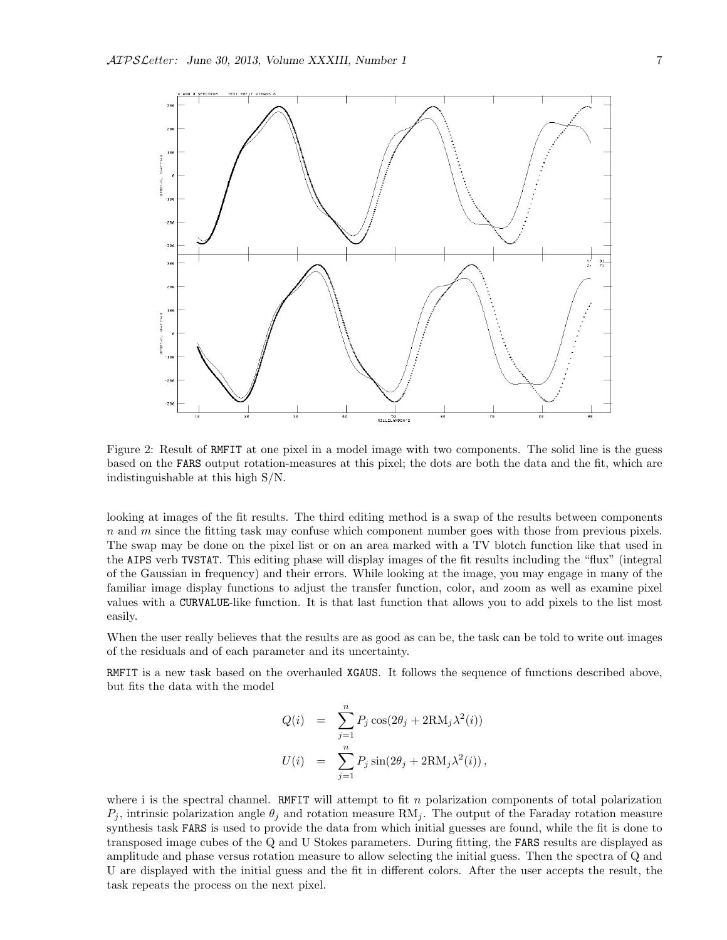

Figure 2: Result of RMFIT at one pixel in a model image with two components. The solid line is the guess based on the FARS output rotation-measures at this pixel; the dots are both the data and the fit, which are indistinguishable at this high S/N.

looking at images of the fit results. The third editing method is a swap of the results between components  $n$  and  $m$  since the fitting task may confuse which component number goes with those from previous pixels. The swap may be done on the pixel list or on an area marked with a TV blotch function like that used in the AIPS verb TVSTAT. This editing phase will display images of the fit results including the "flux" (integral of the Gaussian in frequency) and their errors. While looking at the image, you may engage in many of the familiar image display functions to adjust the transfer function, color, and zoom as well as examine pixel values with a CURVALUE-like function. It is that last function that allows you to add pixels to the list most easily.

When the user really believes that the results are as good as can be, the task can be told to write out images of the residuals and of each parameter and its uncertainty.

RMFIT is a new task based on the overhauled XGAUS. It follows the sequence of functions described above, but fits the data with the model

$$
Q(i) = \sum_{j=1}^{n} P_j \cos(2\theta_j + 2\text{RM}_j \lambda^2(i))
$$
  

$$
U(i) = \sum_{j=1}^{n} P_j \sin(2\theta_j + 2\text{RM}_j \lambda^2(i)),
$$

where i is the spectral channel. RMFIT will attempt to fit  $n$  polarization components of total polarization  $P_i$ , intrinsic polarization angle  $\theta_i$  and rotation measure RM<sub>j</sub>. The output of the Faraday rotation measure synthesis task FARS is used to provide the data from which initial guesses are found, while the fit is done to transposed image cubes of the Q and U Stokes parameters. During fitting, the FARS results are displayed as amplitude and phase versus rotation measure to allow selecting the initial guess. Then the spectra of Q and U are displayed with the initial guess and the fit in different colors. After the user accepts the result, the task repeats the process on the next pixel.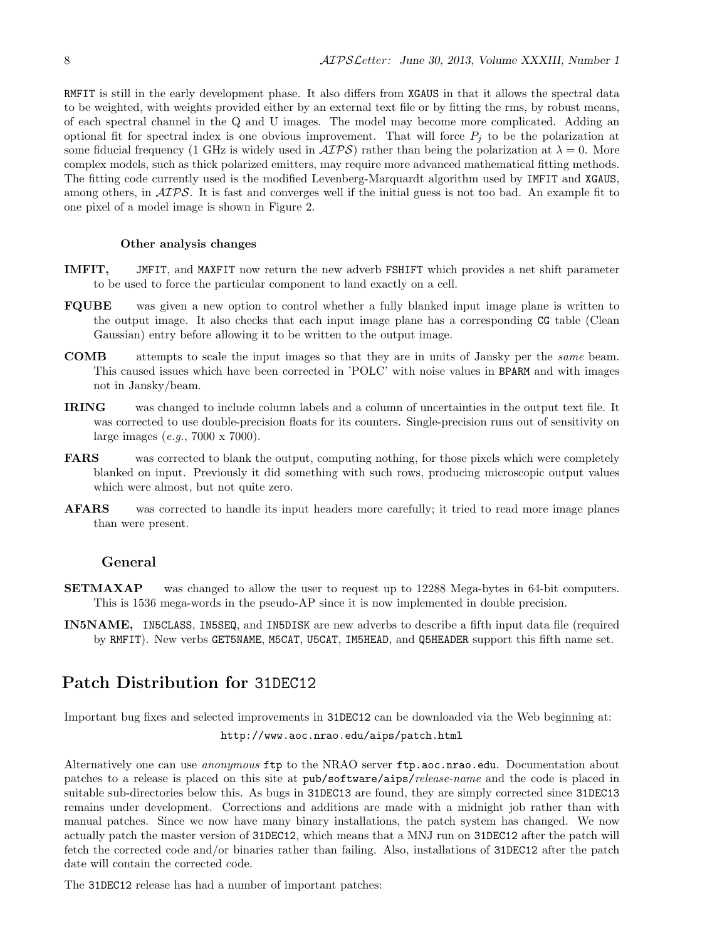RMFIT is still in the early development phase. It also differs from XGAUS in that it allows the spectral data to be weighted, with weights provided either by an external text file or by fitting the rms, by robust means, of each spectral channel in the Q and U images. The model may become more complicated. Adding an optional fit for spectral index is one obvious improvement. That will force  $P_j$  to be the polarization at some fiducial frequency (1 GHz is widely used in  $\mathcal{A} \mathcal{I} \mathcal{P} \mathcal{S}$ ) rather than being the polarization at  $\lambda = 0$ . More complex models, such as thick polarized emitters, may require more advanced mathematical fitting methods. The fitting code currently used is the modified Levenberg-Marquardt algorithm used by IMFIT and XGAUS, among others, in  $ATPS$ . It is fast and converges well if the initial guess is not too bad. An example fit to one pixel of a model image is shown in Figure 2.

#### Other analysis changes

- IMFIT, JMFIT, and MAXFIT now return the new adverb FSHIFT which provides a net shift parameter to be used to force the particular component to land exactly on a cell.
- FQUBE was given a new option to control whether a fully blanked input image plane is written to the output image. It also checks that each input image plane has a corresponding CG table (Clean Gaussian) entry before allowing it to be written to the output image.
- COMB attempts to scale the input images so that they are in units of Jansky per the same beam. This caused issues which have been corrected in 'POLC' with noise values in BPARM and with images not in Jansky/beam.
- IRING was changed to include column labels and a column of uncertainties in the output text file. It was corrected to use double-precision floats for its counters. Single-precision runs out of sensitivity on large images (e.g., 7000 x 7000).
- FARS was corrected to blank the output, computing nothing, for those pixels which were completely blanked on input. Previously it did something with such rows, producing microscopic output values which were almost, but not quite zero.
- **AFARS** was corrected to handle its input headers more carefully; it tried to read more image planes than were present.

## General

- SETMAXAP was changed to allow the user to request up to 12288 Mega-bytes in 64-bit computers. This is 1536 mega-words in the pseudo-AP since it is now implemented in double precision.
- IN5NAME, IN5CLASS, IN5SEQ, and IN5DISK are new adverbs to describe a fifth input data file (required by RMFIT). New verbs GET5NAME, M5CAT, U5CAT, IM5HEAD, and Q5HEADER support this fifth name set.

# Patch Distribution for 31DEC12

Important bug fixes and selected improvements in 31DEC12 can be downloaded via the Web beginning at: http://www.aoc.nrao.edu/aips/patch.html

Alternatively one can use *anonymous* ftp to the NRAO server ftp.aoc.nrao.edu. Documentation about patches to a release is placed on this site at pub/software/aips/release-name and the code is placed in suitable sub-directories below this. As bugs in 31DEC13 are found, they are simply corrected since 31DEC13 remains under development. Corrections and additions are made with a midnight job rather than with manual patches. Since we now have many binary installations, the patch system has changed. We now actually patch the master version of 31DEC12, which means that a MNJ run on 31DEC12 after the patch will fetch the corrected code and/or binaries rather than failing. Also, installations of 31DEC12 after the patch date will contain the corrected code.

The 31DEC12 release has had a number of important patches: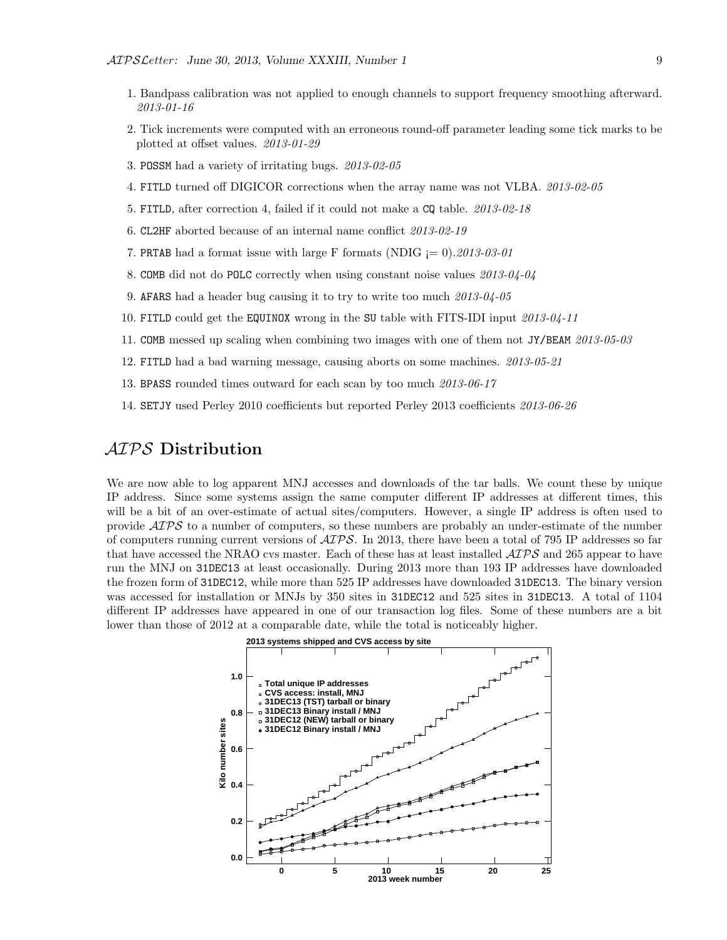- 1. Bandpass calibration was not applied to enough channels to support frequency smoothing afterward. 2013-01-16
- 2. Tick increments were computed with an erroneous round-off parameter leading some tick marks to be plotted at offset values. 2013-01-29
- 3. POSSM had a variety of irritating bugs. 2013-02-05
- 4. FITLD turned off DIGICOR corrections when the array name was not VLBA. 2013-02-05
- 5. FITLD, after correction 4, failed if it could not make a CQ table. 2013-02-18
- 6. CL2HF aborted because of an internal name conflict 2013-02-19
- 7. PRTAB had a format issue with large F formats (NDIG  $= 0$ ). 2013-03-01
- 8. COMB did not do POLC correctly when using constant noise values 2013-04-04
- 9. AFARS had a header bug causing it to try to write too much 2013-04-05
- 10. FITLD could get the EQUINOX wrong in the SU table with FITS-IDI input 2013-04-11
- 11. COMB messed up scaling when combining two images with one of them not JY/BEAM 2013-05-03
- 12. FITLD had a bad warning message, causing aborts on some machines. 2013-05-21
- 13. BPASS rounded times outward for each scan by too much 2013-06-17
- 14. SETJY used Perley 2010 coefficients but reported Perley 2013 coefficients 2013-06-26

# AIPS Distribution

We are now able to log apparent MNJ accesses and downloads of the tar balls. We count these by unique IP address. Since some systems assign the same computer different IP addresses at different times, this will be a bit of an over-estimate of actual sites/computers. However, a single IP address is often used to provide  $\mathcal{AIPS}$  to a number of computers, so these numbers are probably an under-estimate of the number of computers running current versions of  $\mathcal{AIPS}$ . In 2013, there have been a total of 795 IP addresses so far that have accessed the NRAO cvs master. Each of these has at least installed  $\mathcal{AIPS}$  and 265 appear to have run the MNJ on 31DEC13 at least occasionally. During 2013 more than 193 IP addresses have downloaded the frozen form of 31DEC12, while more than 525 IP addresses have downloaded 31DEC13. The binary version was accessed for installation or MNJs by 350 sites in 31DEC12 and 525 sites in 31DEC13. A total of 1104 different IP addresses have appeared in one of our transaction log files. Some of these numbers are a bit lower than those of 2012 at a comparable date, while the total is noticeably higher.